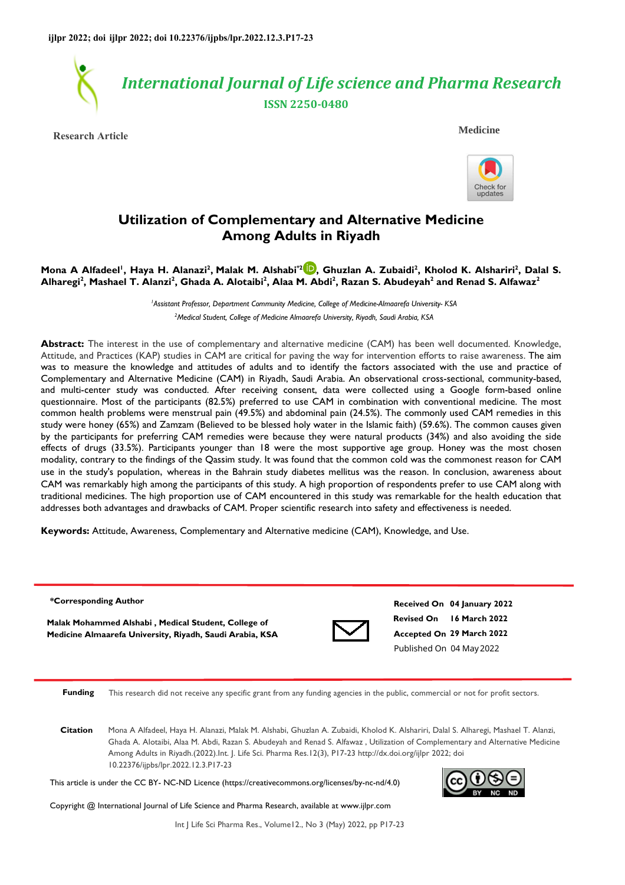

**Research Article**

 **Medicine**



# **Utilization of Complementary and Alternative Medicine Among Adults in Riyadh**

## **Mona A Alfadeel<sup>1</sup> , Haya H. Alanazi<sup>2</sup> , Malak M. Alshabi\*[2](https://orcid.org/0000-0002-4283-5212) , Ghuzlan A. Zubaidi<sup>2</sup> , Kholod K. Alshariri<sup>2</sup> , Dalal S. Alharegi<sup>2</sup> , Mashael T. Alanzi<sup>2</sup> , Ghada A. Alotaibi<sup>2</sup> , Alaa M. Abdi<sup>2</sup> , Razan S. Abudeyah<sup>2</sup> and Renad S. Alfawaz<sup>2</sup>**

*<sup>1</sup>Assistant Professor, Department Community Medicine, College of Medicine-Almaarefa University- KSA <sup>2</sup>Medical Student, College of Medicine Almaarefa University, Riyadh, Saudi Arabia, KSA* 

**Abstract:** The interest in the use of complementary and alternative medicine (CAM) has been well documented. Knowledge, Attitude, and Practices (KAP) studies in CAM are critical for paving the way for intervention efforts to raise awareness. The aim was to measure the knowledge and attitudes of adults and to identify the factors associated with the use and practice of Complementary and Alternative Medicine (CAM) in Riyadh, Saudi Arabia. An observational cross-sectional, community-based, and multi-center study was conducted. After receiving consent, data were collected using a Google form-based online questionnaire. Most of the participants (82.5%) preferred to use CAM in combination with conventional medicine. The most common health problems were menstrual pain (49.5%) and abdominal pain (24.5%). The commonly used CAM remedies in this study were honey (65%) and Zamzam (Believed to be blessed holy water in the Islamic faith) (59.6%). The common causes given by the participants for preferring CAM remedies were because they were natural products (34%) and also avoiding the side effects of drugs (33.5%). Participants younger than 18 were the most supportive age group. Honey was the most chosen modality, contrary to the findings of the Qassim study. It was found that the common cold was the commonest reason for CAM use in the study's population, whereas in the Bahrain study diabetes mellitus was the reason. In conclusion, awareness about CAM was remarkably high among the participants of this study. A high proportion of respondents prefer to use CAM along with traditional medicines. The high proportion use of CAM encountered in this study was remarkable for the health education that addresses both advantages and drawbacks of CAM. Proper scientific research into safety and effectiveness is needed.

**Keywords:** Attitude, Awareness, Complementary and Alternative medicine (CAM), Knowledge, and Use.

#### **\*Corresponding Author**

**Malak Mohammed Alshabi , Medical Student, College of Medicine Almaarefa University, Riyadh, Saudi Arabia, KSA**



**Revised On 16 March 2022 Accepted On 29 March 2022 Received On 04 January 2022** Published On 04 May 2022

**Funding** This research did not receive any specific grant from any funding agencies in the public, commercial or not for profit sectors.

**Citation** Mona A Alfadeel, Haya H. Alanazi, Malak M. Alshabi, Ghuzlan A. Zubaidi, Kholod K. Alshariri, Dalal S. Alharegi, Mashael T. Alanzi, Ghada A. Alotaibi, Alaa M. Abdi, Razan S. Abudeyah and Renad S. Alfawaz , Utilization of Complementary and Alternative Medicine Among Adults in Riyadh.(2022).Int. J. Life Sci. Pharma Res.12(3), P17-23 http://dx.doi.org/ijlpr 2022; doi 10.22376/ijpbs/lpr.2022.12.3.P17-23

This article is under the CC BY- NC-ND Licence (https://creativecommons.org/licenses/by-nc-nd/4.0)



Copyright @ International Journal of Life Science and Pharma Research, available at www.ijlpr.com

Int J Life Sci Pharma Res., Volume12., No 3 (May) 2022, pp P17-23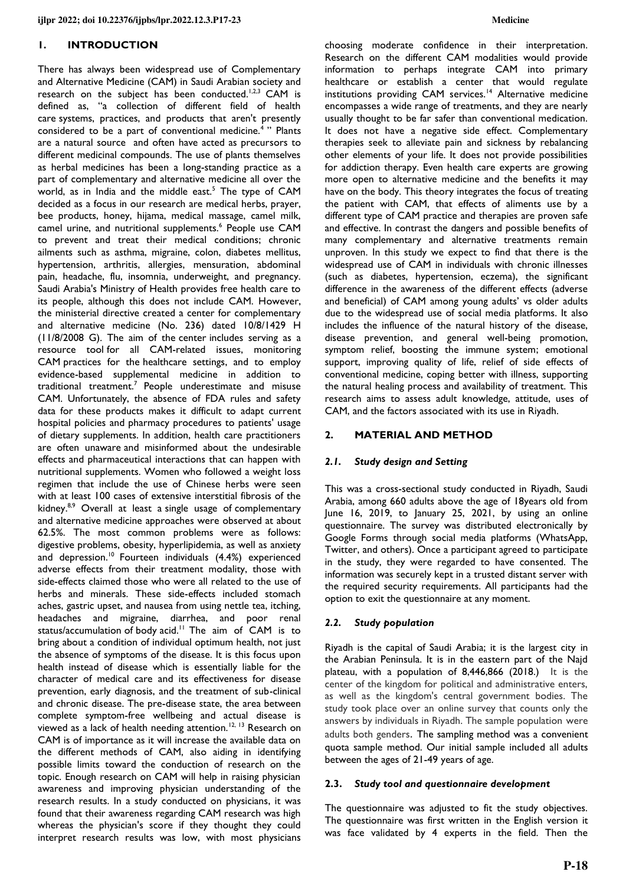## **1. INTRODUCTION**

There has always been widespread use of Complementary and Alternative Medicine (CAM) in Saudi Arabian society and research on the subject has been conducted.<sup>1,2,3</sup> CAM is defined as, "a collection of different field of health care systems, practices, and products that aren't presently considered to be a part of conventional medicine.<sup>4</sup> " Plants are a natural source and often have acted as precursors to different medicinal compounds. The use of plants themselves as herbal medicines has been a long-standing practice as a part of complementary and alternative medicine all over the world, as in India and the middle east.<sup>5</sup> The type of CAM decided as a focus in our research are medical herbs, prayer, bee products, honey, hijama, medical massage, camel milk, camel urine, and nutritional supplements.<sup>6</sup> People use CAM to prevent and treat their medical conditions; chronic ailments such as asthma, migraine, colon, diabetes mellitus, hypertension, arthritis, allergies, mensuration, abdominal pain, headache, flu, insomnia, underweight, and pregnancy. Saudi Arabia's Ministry of Health provides free health care to its people, although this does not include CAM. However, the ministerial directive created a center for complementary and alternative medicine (No. 236) dated 10/8/1429 H (11/8/2008 G). The aim of the center includes serving as a resource tool for all CAM-related issues, monitoring CAM practices for the healthcare settings, and to employ evidence-based supplemental medicine in addition to traditional treatment.<sup>7</sup> People underestimate and misuse CAM. Unfortunately, the absence of FDA rules and safety data for these products makes it difficult to adapt current hospital policies and pharmacy procedures to patients' usage of dietary supplements. In addition, health care practitioners are often unaware and misinformed about the undesirable effects and pharmaceutical interactions that can happen with nutritional supplements. Women who followed a weight loss regimen that include the use of Chinese herbs were seen with at least 100 cases of extensive interstitial fibrosis of the kidney.<sup>8,9</sup> Overall at least a single usage of complementary and alternative medicine approaches were observed at about 62.5%. The most common problems were as follows: digestive problems, obesity, hyperlipidemia, as well as anxiety and depression.<sup>10</sup> Fourteen individuals (4.4%) experienced adverse effects from their treatment modality, those with side-effects claimed those who were all related to the use of herbs and minerals. These side-effects included stomach aches, gastric upset, and nausea from using nettle tea, itching, headaches and migraine, diarrhea, and poor renal status/accumulation of body acid.<sup>11</sup> The aim of CAM is to bring about a condition of individual optimum health, not just the absence of symptoms of the disease. It is this focus upon health instead of disease which is essentially liable for the character of medical care and its effectiveness for disease prevention, early diagnosis, and the treatment of sub-clinical and chronic disease. The pre-disease state, the area between complete symptom-free wellbeing and actual disease is viewed as a lack of health needing attention.<sup>12, 13</sup> Research on CAM is of importance as it will increase the available data on the different methods of CAM, also aiding in identifying possible limits toward the conduction of research on the topic. Enough research on CAM will help in raising physician awareness and improving physician understanding of the research results. In a study conducted on physicians, it was found that their awareness regarding CAM research was high whereas the physician's score if they thought they could interpret research results was low, with most physicians

choosing moderate confidence in their interpretation. Research on the different CAM modalities would provide information to perhaps integrate CAM into primary healthcare or establish a center that would regulate institutions providing CAM services.<sup>14</sup> Alternative medicine encompasses a wide range of treatments, and they are nearly usually thought to be far safer than conventional medication. It does not have a negative side effect. Complementary therapies seek to alleviate pain and sickness by rebalancing other elements of your life. It does not provide possibilities for addiction therapy. Even health care experts are growing more open to alternative medicine and the benefits it may have on the body. This theory integrates the focus of treating the patient with CAM, that effects of aliments use by a different type of CAM practice and therapies are proven safe and effective. In contrast the dangers and possible benefits of many complementary and alternative treatments remain unproven. In this study we expect to find that there is the widespread use of CAM in individuals with chronic illnesses (such as diabetes, hypertension, eczema), the significant difference in the awareness of the different effects (adverse and beneficial) of CAM among young adults' vs older adults due to the widespread use of social media platforms. It also includes the influence of the natural history of the disease, disease prevention, and general well-being promotion, symptom relief, boosting the immune system; emotional support, improving quality of life, relief of side effects of conventional medicine, coping better with illness, supporting the natural healing process and availability of treatment. This research aims to assess adult knowledge, attitude, uses of CAM, and the factors associated with its use in Riyadh.

## **2. MATERIAL AND METHOD**

#### *2.1. Study design and Setting*

This was a cross-sectional study conducted in Riyadh, Saudi Arabia, among 660 adults above the age of 18years old from June 16, 2019, to January 25, 2021, by using an online questionnaire. The survey was distributed electronically by Google Forms through social media platforms (WhatsApp, Twitter, and others). Once a participant agreed to participate in the study, they were regarded to have consented. The information was securely kept in a trusted distant server with the required security requirements. All participants had the option to exit the questionnaire at any moment.

#### *2.2. Study population*

Riyadh is the capital of Saudi Arabia; it is the largest city in the Arabian Peninsula. It is in the eastern part of the Najd plateau, with a population of 8,446,866 (2018.) It is the center of the kingdom for political and administrative enters, as well as the kingdom's central government bodies. The study took place over an online survey that counts only the answers by individuals in Riyadh. The sample population were adults both genders. The sampling method was a convenient quota sample method. Our initial sample included all adults between the ages of 21-49 years of age.

#### **2.3.** *Study tool and questionnaire development*

The questionnaire was adjusted to fit the study objectives. The questionnaire was first written in the English version it was face validated by 4 experts in the field. Then the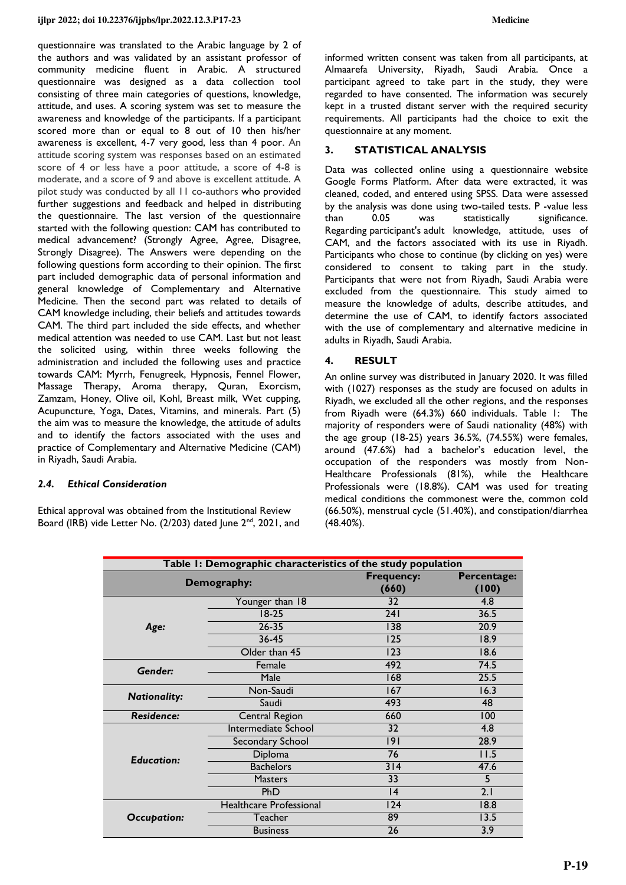questionnaire was translated to the Arabic language by 2 of the authors and was validated by an assistant professor of community medicine fluent in Arabic. A structured questionnaire was designed as a data collection tool consisting of three main categories of questions, knowledge, attitude, and uses. A scoring system was set to measure the awareness and knowledge of the participants. If a participant scored more than or equal to 8 out of 10 then his/her awareness is excellent, 4-7 very good, less than 4 poor. An attitude scoring system was responses based on an estimated score of 4 or less have a poor attitude, a score of 4-8 is moderate, and a score of 9 and above is excellent attitude. A pilot study was conducted by all 11 co-authors who provided further suggestions and feedback and helped in distributing the questionnaire. The last version of the questionnaire started with the following question: CAM has contributed to medical advancement? (Strongly Agree, Agree, Disagree, Strongly Disagree). The Answers were depending on the following questions form according to their opinion. The first part included demographic data of personal information and general knowledge of Complementary and Alternative Medicine. Then the second part was related to details of CAM knowledge including, their beliefs and attitudes towards CAM. The third part included the side effects, and whether medical attention was needed to use CAM. Last but not least the solicited using, within three weeks following the administration and included the following uses and practice towards CAM: Myrrh, Fenugreek, Hypnosis, Fennel Flower, Massage Therapy, Aroma therapy, Quran, Exorcism, Zamzam, Honey, Olive oil, Kohl, Breast milk, Wet cupping, Acupuncture, Yoga, Dates, Vitamins, and minerals. Part (5) the aim was to measure the knowledge, the attitude of adults and to identify the factors associated with the uses and practice of Complementary and Alternative Medicine (CAM) in Riyadh, Saudi Arabia.

## *2.4. Ethical Consideration*

Ethical approval was obtained from the Institutional Review Board (IRB) vide Letter No. (2/203) dated June 2<sup>nd</sup>, 2021, and informed written consent was taken from all participants, at Almaarefa University, Riyadh, Saudi Arabia. Once a participant agreed to take part in the study, they were regarded to have consented. The information was securely kept in a trusted distant server with the required security requirements. All participants had the choice to exit the questionnaire at any moment.

## **3. STATISTICAL ANALYSIS**

Data was collected online using a questionnaire website Google Forms Platform. After data were extracted, it was cleaned, coded, and entered using SPSS. Data were assessed by the analysis was done using two-tailed tests. P -value less than 0.05 was statistically significance. Regarding participant's adult knowledge, attitude, uses of CAM, and the factors associated with its use in Riyadh. Participants who chose to continue (by clicking on yes) were considered to consent to taking part in the study. Participants that were not from Riyadh, Saudi Arabia were excluded from the questionnaire. This study aimed to measure the knowledge of adults, describe attitudes, and determine the use of CAM, to identify factors associated with the use of complementary and alternative medicine in adults in Riyadh, Saudi Arabia.

## **4. RESULT**

An online survey was distributed in January 2020. It was filled with (1027) responses as the study are focused on adults in Riyadh, we excluded all the other regions, and the responses from Riyadh were (64.3%) 660 individuals. Table 1: The majority of responders were of Saudi nationality (48%) with the age group (18-25) years 36.5%, (74.55%) were females, around (47.6%) had a bachelor's education level, the occupation of the responders was mostly from Non-Healthcare Professionals (81%), while the Healthcare Professionals were (18.8%). CAM was used for treating medical conditions the commonest were the, common cold (66.50%), menstrual cycle (51.40%), and constipation/diarrhea (48.40%).

| Table I: Demographic characteristics of the study population |                                                                                   |                                                                                                                                                                                                                                                                                                   |      |  |  |  |
|--------------------------------------------------------------|-----------------------------------------------------------------------------------|---------------------------------------------------------------------------------------------------------------------------------------------------------------------------------------------------------------------------------------------------------------------------------------------------|------|--|--|--|
|                                                              | Demography:                                                                       | <b>Frequency:</b><br>(660)<br>(100)                                                                                                                                                                                                                                                               |      |  |  |  |
|                                                              | Younger than 18                                                                   | 32                                                                                                                                                                                                                                                                                                | 4.8  |  |  |  |
|                                                              | $18-25$                                                                           | Percentage:<br>36.5<br>241<br>$26 - 35$<br>20.9<br>138<br>$36 - 45$<br>125<br>18.9<br>123<br>18.6<br>492<br>74.5<br>25.5<br>168<br>Male<br>16.3<br>167<br>493<br>48<br>Saudi<br>660<br>100<br>4.8<br>32<br> 9 <br>28.9<br>76<br>11.5<br>314<br>47.6<br>5<br>33<br>2.1<br>PhD<br> 4<br>124<br>18.8 |      |  |  |  |
| Age:                                                         |                                                                                   |                                                                                                                                                                                                                                                                                                   |      |  |  |  |
|                                                              |                                                                                   |                                                                                                                                                                                                                                                                                                   |      |  |  |  |
|                                                              | Older than 45                                                                     | 89<br>26                                                                                                                                                                                                                                                                                          |      |  |  |  |
| Gender:                                                      | Female                                                                            |                                                                                                                                                                                                                                                                                                   |      |  |  |  |
|                                                              |                                                                                   |                                                                                                                                                                                                                                                                                                   |      |  |  |  |
| <b>Nationality:</b>                                          | Non-Saudi<br>Central Region<br>Intermediate School<br>Secondary School<br>Diploma |                                                                                                                                                                                                                                                                                                   |      |  |  |  |
|                                                              |                                                                                   |                                                                                                                                                                                                                                                                                                   |      |  |  |  |
| <b>Residence:</b>                                            |                                                                                   |                                                                                                                                                                                                                                                                                                   |      |  |  |  |
|                                                              |                                                                                   |                                                                                                                                                                                                                                                                                                   |      |  |  |  |
|                                                              |                                                                                   |                                                                                                                                                                                                                                                                                                   |      |  |  |  |
| <b>Education:</b>                                            |                                                                                   |                                                                                                                                                                                                                                                                                                   |      |  |  |  |
|                                                              | <b>Bachelors</b>                                                                  |                                                                                                                                                                                                                                                                                                   |      |  |  |  |
|                                                              | <b>Masters</b>                                                                    |                                                                                                                                                                                                                                                                                                   |      |  |  |  |
|                                                              |                                                                                   |                                                                                                                                                                                                                                                                                                   |      |  |  |  |
|                                                              | Healthcare Professional                                                           |                                                                                                                                                                                                                                                                                                   |      |  |  |  |
| <b>Occupation:</b>                                           | Teacher                                                                           |                                                                                                                                                                                                                                                                                                   | 13.5 |  |  |  |
|                                                              | <b>Business</b>                                                                   |                                                                                                                                                                                                                                                                                                   | 3.9  |  |  |  |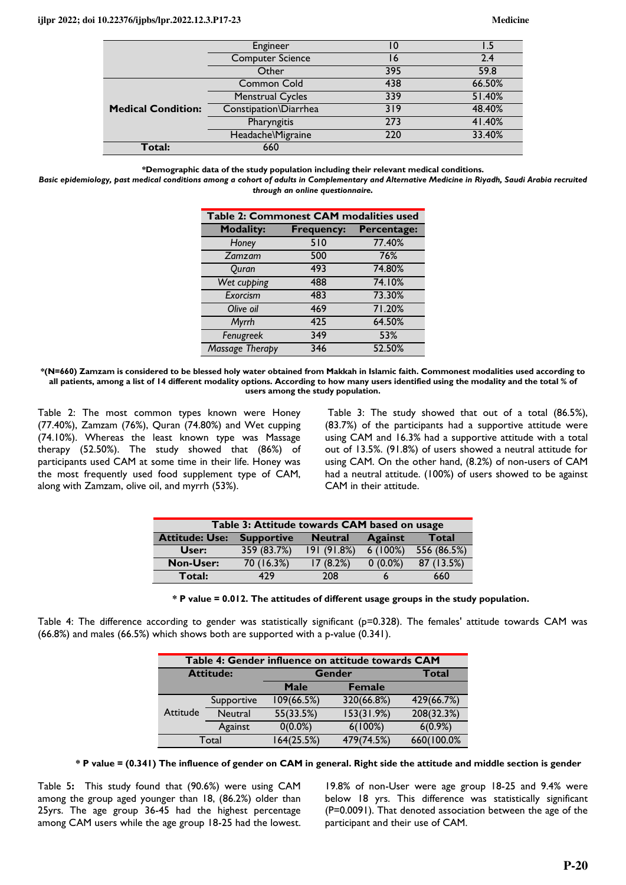|                           | Engineer                | 10  |        |
|---------------------------|-------------------------|-----|--------|
|                           | <b>Computer Science</b> | 16  | 2.4    |
|                           | 395<br>Other            |     | 59.8   |
|                           | Common Cold             | 438 | 66.50% |
|                           | <b>Menstrual Cycles</b> | 339 | 51.40% |
| <b>Medical Condition:</b> | Constipation\Diarrhea   | 319 | 48.40% |
|                           | Pharyngitis             | 273 | 41.40% |
|                           | Headache\Migraine       | 220 | 33.40% |
| Total:                    | 660                     |     |        |

**\*Demographic data of the study population including their relevant medical conditions.** 

*Basic epidemiology, past medical conditions among a cohort of adults in Complementary and Alternative Medicine in Riyadh, Saudi Arabia recruited through an online questionnaire.* 

| Table 2: Commonest CAM modalities used |                   |             |  |  |  |  |
|----------------------------------------|-------------------|-------------|--|--|--|--|
| <b>Modality:</b>                       | <b>Frequency:</b> | Percentage: |  |  |  |  |
| Honey                                  | 510               | 77.40%      |  |  |  |  |
| Zamzam                                 | 500               | 76%         |  |  |  |  |
| Quran                                  | 493               | 74.80%      |  |  |  |  |
| Wet cupping                            | 488               | 74.10%      |  |  |  |  |
| Exorcism                               | 483               | 73.30%      |  |  |  |  |
| Olive oil                              | 469               | 71.20%      |  |  |  |  |
| Myrrh                                  | 425               | 64.50%      |  |  |  |  |
| Fenugreek                              | 349               | 53%         |  |  |  |  |
| <b>Massage Therapy</b>                 | 346               | 52.50%      |  |  |  |  |

**\*(N=660) Zamzam is considered to be blessed holy water obtained from Makkah in Islamic faith. Commonest modalities used according to all patients, among a list of 14 different modality options. According to how many users identified using the modality and the total % of users among the study population.** 

Table 2: The most common types known were Honey (77.40%), Zamzam (76%), Quran (74.80%) and Wet cupping (74.10%). Whereas the least known type was Massage therapy (52.50%). The study showed that (86%) of participants used CAM at some time in their life. Honey was the most frequently used food supplement type of CAM, along with Zamzam, olive oil, and myrrh (53%).

 Table 3: The study showed that out of a total (86.5%), (83.7%) of the participants had a supportive attitude were using CAM and 16.3% had a supportive attitude with a total out of 13.5%. (91.8%) of users showed a neutral attitude for using CAM. On the other hand, (8.2%) of non-users of CAM had a neutral attitude. (100%) of users showed to be against CAM in their attitude.

| Table 3: Attitude towards CAM based on usage                                            |             |            |            |             |  |  |  |  |
|-----------------------------------------------------------------------------------------|-------------|------------|------------|-------------|--|--|--|--|
| <b>Against</b><br><b>Attitude: Use:</b><br>Total<br><b>Supportive</b><br><b>Neutral</b> |             |            |            |             |  |  |  |  |
| User:                                                                                   | 359 (83.7%) | 191(91.8%) | $6(100\%)$ | 556 (86.5%) |  |  |  |  |
| <b>Non-User:</b>                                                                        | 70(16.3%)   | 17(8.2%)   | $0(0.0\%)$ | 87 (13.5%)  |  |  |  |  |
| Total:                                                                                  | 479         | 208        |            | 660         |  |  |  |  |

| * P value = 0.012. The attitudes of different usage groups in the study population. |  |
|-------------------------------------------------------------------------------------|--|
|-------------------------------------------------------------------------------------|--|

Table 4: The difference according to gender was statistically significant (p=0.328). The females' attitude towards CAM was (66.8%) and males (66.5%) which shows both are supported with a p-value (0.341).

| Table 4: Gender influence on attitude towards CAM |                |            |               |            |  |  |  |
|---------------------------------------------------|----------------|------------|---------------|------------|--|--|--|
| <b>Attitude:</b>                                  |                | Gender     | Total         |            |  |  |  |
|                                                   |                | Male       | <b>Female</b> |            |  |  |  |
|                                                   | Supportive     | 109(66.5%) | 320(66.8%)    | 429(66.7%) |  |  |  |
| Attitude                                          | <b>Neutral</b> | 55(33.5%)  | 153(31.9%)    | 208(32.3%) |  |  |  |
|                                                   | Against        | $0(0.0\%)$ | $6(100\%)$    | $6(0.9\%)$ |  |  |  |
| Total                                             |                | 164(25.5%) | 479(74.5%)    | 660(100.0% |  |  |  |

**\* P value = (0.341) The influence of gender on CAM in general. Right side the attitude and middle section is gender** 

Table 5**:** This study found that (90.6%) were using CAM among the group aged younger than 18, (86.2%) older than 25yrs. The age group 36-45 had the highest percentage among CAM users while the age group 18-25 had the lowest.

19.8% of non-User were age group 18-25 and 9.4% were below 18 yrs. This difference was statistically significant (P=0.0091). That denoted association between the age of the participant and their use of CAM.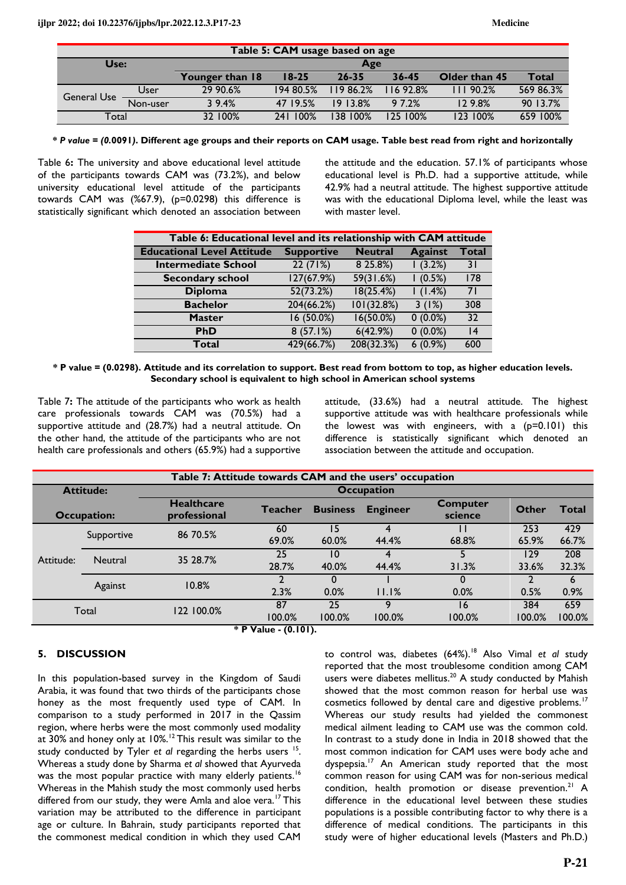| Table 5: CAM usage based on age                                         |          |          |           |          |              |          |           |  |
|-------------------------------------------------------------------------|----------|----------|-----------|----------|--------------|----------|-----------|--|
| Use:                                                                    |          | Age      |           |          |              |          |           |  |
| Younger than 18<br>$18 - 25$<br>$26 - 35$<br>$36 - 45$<br>Older than 45 |          |          |           |          | <b>Total</b> |          |           |  |
| <b>General Use</b>                                                      | User     | 29 90.6% | 194 80.5% | 11986.2% | 1692.8%      | 11190.2% | 569 86.3% |  |
|                                                                         | Non-user | 39.4%    | 47 19.5%  | 19 13.8% | 9 7.2%       | 129.8%   | 90 13.7%  |  |
| Total                                                                   |          | 32 100%  | 241 100%  | 38 100%  | 125 100%     | 123 100% | 659 100%  |  |

**\*** *P value = (0.***0091***)***. Different age groups and their reports on CAM usage. Table best read from right and horizontally** 

Table 6**:** The university and above educational level attitude of the participants towards CAM was (73.2%), and below university educational level attitude of the participants towards CAM was (%67.9), (p=0.0298) this difference is statistically significant which denoted an association between

the attitude and the education. 57.1% of participants whose educational level is Ph.D. had a supportive attitude, while 42.9% had a neutral attitude. The highest supportive attitude was with the educational Diploma level, while the least was with master level.

| Table 6: Educational level and its relationship with CAM attitude |                   |                |                |              |  |  |  |  |
|-------------------------------------------------------------------|-------------------|----------------|----------------|--------------|--|--|--|--|
| <b>Educational Level Attitude</b>                                 | <b>Supportive</b> | <b>Neutral</b> | <b>Against</b> | <b>Total</b> |  |  |  |  |
| <b>Intermediate School</b>                                        | 22(71%)           | 8 25.8%)       | (3.2%)         | 3 I          |  |  |  |  |
| <b>Secondary school</b>                                           | 127(67.9%)        | 59(31.6%)      | (0.5%)         | 178          |  |  |  |  |
| <b>Diploma</b>                                                    | 52(73.2%)         | 18(25.4%)      | (1.4%)         | 71           |  |  |  |  |
| <b>Bachelor</b>                                                   | 204(66.2%)        | 101(32.8%)     | 3(1%)          | 308          |  |  |  |  |
| <b>Master</b>                                                     | 16(50.0%)         | 16(50.0%)      | $0(0.0\%)$     | 32           |  |  |  |  |
| <b>PhD</b>                                                        | 8(57.1%)          | 6(42.9%)       | $0(0.0\%)$     | 14           |  |  |  |  |
| Total                                                             | 429(66.7%)        | 208(32.3%)     | $6(0.9\%)$     | 600          |  |  |  |  |

**\* P value = (0.0298). Attitude and its correlation to support. Best read from bottom to top, as higher education levels. Secondary school is equivalent to high school in American school systems** 

Table 7**:** The attitude of the participants who work as health care professionals towards CAM was (70.5%) had a supportive attitude and (28.7%) had a neutral attitude. On the other hand, the attitude of the participants who are not health care professionals and others (65.9%) had a supportive

attitude, (33.6%) had a neutral attitude. The highest supportive attitude was with healthcare professionals while the lowest was with engineers, with a  $(p=0.101)$  this difference is statistically significant which denoted an association between the attitude and occupation.

| Table 7: Attitude towards CAM and the users' occupation |                |                                   |                          |                 |                   |                            |               |               |  |
|---------------------------------------------------------|----------------|-----------------------------------|--------------------------|-----------------|-------------------|----------------------------|---------------|---------------|--|
| <b>Attitude:</b>                                        |                |                                   |                          |                 | <b>Occupation</b> |                            |               |               |  |
| <b>Occupation:</b>                                      |                | <b>Healthcare</b><br>professional | <b>Teacher</b>           | <b>Business</b> | <b>Engineer</b>   | <b>Computer</b><br>science | <b>Other</b>  | Total         |  |
|                                                         | Supportive     | 86 70.5%                          | 60<br>69.0%              | 15<br>60.0%     | 44.4%             | 68.8%                      | 253<br>65.9%  | 429<br>66.7%  |  |
| Attitude:                                               | <b>Neutral</b> | 35 28.7%                          | 25<br>28.7%              | 10<br>40.0%     | 44.4%             | 31.3%                      | 129<br>33.6%  | 208<br>32.3%  |  |
|                                                         | Against        | 10.8%                             | 2.3%                     | 0<br>0.0%       | 11.1%             | 0.0%                       | 0.5%          | 6<br>0.9%     |  |
|                                                         | Total          | 122 100.0%<br>$\sim$ $   -$       | 87<br>100.0%<br>$\cdots$ | 25<br>100.0%    | Q<br>100.0%       | 16<br>100.0%               | 384<br>100.0% | 659<br>100.0% |  |

 **\* P Value - (0.101).** 

## **5. DISCUSSION**

In this population-based survey in the Kingdom of Saudi Arabia, it was found that two thirds of the participants chose honey as the most frequently used type of CAM. In comparison to a study performed in 2017 in the Qassim region, where herbs were the most commonly used modality at 30% and honey only at 10%.<sup>12</sup>This result was similar to the study conducted by Tyler et al regarding the herbs users <sup>15</sup>. Whereas a study done by Sharma *et al* showed that Ayurveda was the most popular practice with many elderly patients.<sup>16</sup> Whereas in the Mahish study the most commonly used herbs differed from our study, they were Amla and aloe vera.<sup>17</sup> This variation may be attributed to the difference in participant age or culture. In Bahrain, study participants reported that the commonest medical condition in which they used CAM

to control was, diabetes (64%).<sup>18</sup> Also Vimal *et al* study reported that the most troublesome condition among CAM users were diabetes mellitus.<sup>20</sup> A study conducted by Mahish showed that the most common reason for herbal use was cosmetics followed by dental care and digestive problems.<sup>17</sup> Whereas our study results had yielded the commonest medical ailment leading to CAM use was the common cold. In contrast to a study done in India in 2018 showed that the most common indication for CAM uses were body ache and dyspepsia.<sup>17</sup> An American study reported that the most common reason for using CAM was for non-serious medical condition, health promotion or disease prevention.<sup>21</sup> A difference in the educational level between these studies populations is a possible contributing factor to why there is a difference of medical conditions. The participants in this study were of higher educational levels (Masters and Ph.D.)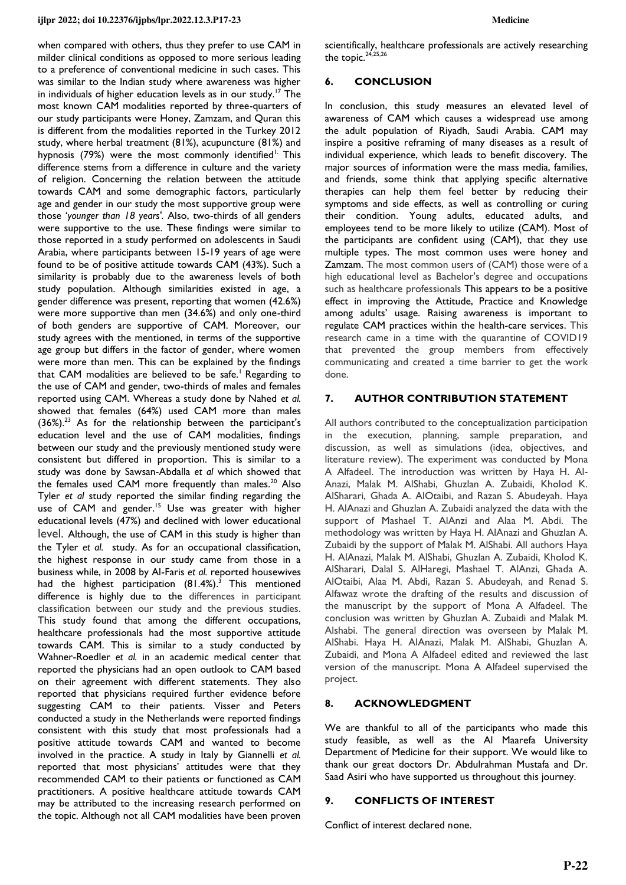#### **ijlpr 2022; doi 10.22376/ijpbs/lpr.2022.12.3.P17-23 Medicine**

when compared with others, thus they prefer to use CAM in milder clinical conditions as opposed to more serious leading to a preference of conventional medicine in such cases. This was similar to the Indian study where awareness was higher in individuals of higher education levels as in our study.<sup>17</sup> The most known CAM modalities reported by three-quarters of our study participants were Honey, Zamzam, and Quran this is different from the modalities reported in the Turkey 2012 study, where herbal treatment (81%), acupuncture (81%) and hypnosis (79%) were the most commonly identified<sup>1.</sup> This difference stems from a difference in culture and the variety of religion. Concerning the relation between the attitude towards CAM and some demographic factors, particularly age and gender in our study the most supportive group were those '*younger than 18 years'.* Also, two-thirds of all genders were supportive to the use. These findings were similar to those reported in a study performed on adolescents in Saudi Arabia, where participants between 15-19 years of age were found to be of positive attitude towards CAM (43%). Such a similarity is probably due to the awareness levels of both study population. Although similarities existed in age, a gender difference was present, reporting that women (42.6%) were more supportive than men (34.6%) and only one-third of both genders are supportive of CAM. Moreover, our study agrees with the mentioned, in terms of the supportive age group but differs in the factor of gender, where women were more than men. This can be explained by the findings that CAM modalities are believed to be safe.<sup>1</sup> Regarding to the use of CAM and gender, two-thirds of males and females reported using CAM. Whereas a study done by Nahed *et al.*  showed that females (64%) used CAM more than males (36%).<sup>23</sup> As for the relationship between the participant's education level and the use of CAM modalities, findings between our study and the previously mentioned study were consistent but differed in proportion. This is similar to a study was done by Sawsan-Abdalla *et al* which showed that the females used CAM more frequently than males.<sup>20</sup> Also Tyler *et al* study reported the similar finding regarding the use of CAM and gender.<sup>15</sup> Use was greater with higher educational levels (47%) and declined with lower educational level. Although, the use of CAM in this study is higher than the Tyler *et al.* study. As for an occupational classification, the highest response in our study came from those in a business while, in 2008 by Al-Faris *et al.* reported housewives had the highest participation  $(81.4\%)$ <sup>3</sup> This mentioned difference is highly due to the differences in participant classification between our study and the previous studies. This study found that among the different occupations, healthcare professionals had the most supportive attitude towards CAM. This is similar to a study conducted by Wahner-Roedler *et al.* in an academic medical center that reported the physicians had an open outlook to CAM based on their agreement with different statements. They also reported that physicians required further evidence before suggesting CAM to their patients. Visser and Peters conducted a study in the Netherlands were reported findings consistent with this study that most professionals had a positive attitude towards CAM and wanted to become involved in the practice. A study in Italy by Giannelli *et al.*  reported that most physicians' attitudes were that they recommended CAM to their patients or functioned as CAM practitioners. A positive healthcare attitude towards CAM may be attributed to the increasing research performed on the topic. Although not all CAM modalities have been proven

scientifically, healthcare professionals are actively researching the topic.<sup>24,25,26</sup>

## **6. CONCLUSION**

In conclusion, this study measures an elevated level of awareness of CAM which causes a widespread use among the adult population of Riyadh, Saudi Arabia. CAM may inspire a positive reframing of many diseases as a result of individual experience, which leads to benefit discovery. The major sources of information were the mass media, families, and friends, some think that applying specific alternative therapies can help them feel better by reducing their symptoms and side effects, as well as controlling or curing their condition. Young adults, educated adults, and employees tend to be more likely to utilize (CAM). Most of the participants are confident using (CAM), that they use multiple types. The most common uses were honey and Zamzam. The most common users of (CAM) those were of a high educational level as Bachelor's degree and occupations such as healthcare professionals This appears to be a positive effect in improving the Attitude, Practice and Knowledge among adults' usage. Raising awareness is important to regulate CAM practices within the health-care services. This research came in a time with the quarantine of COVID19 that prevented the group members from effectively communicating and created a time barrier to get the work done.

## **7. AUTHOR CONTRIBUTION STATEMENT**

All authors contributed to the conceptualization participation in the execution, planning, sample preparation, and discussion, as well as simulations (idea, objectives, and literature review). The experiment was conducted by Mona A Alfadeel. The introduction was written by Haya H. Al-Anazi, Malak M. AlShabi, Ghuzlan A. Zubaidi, Kholod K. AlSharari, Ghada A. AlOtaibi, and Razan S. Abudeyah. Haya H. AlAnazi and Ghuzlan A. Zubaidi analyzed the data with the support of Mashael T. AlAnzi and Alaa M. Abdi. The methodology was written by Haya H. AlAnazi and Ghuzlan A. Zubaidi by the support of Malak M. AlShabi. All authors Haya H. AlAnazi, Malak M. AlShabi, Ghuzlan A. Zubaidi, Kholod K. AlSharari, Dalal S. AlHaregi, Mashael T. AlAnzi, Ghada A. AlOtaibi, Alaa M. Abdi, Razan S. Abudeyah, and Renad S. Alfawaz wrote the drafting of the results and discussion of the manuscript by the support of Mona A Alfadeel. The conclusion was written by Ghuzlan A. Zubaidi and Malak M. Alshabi. The general direction was overseen by Malak M. AlShabi. Haya H. AlAnazi, Malak M. AlShabi, Ghuzlan A. Zubaidi, and Mona A Alfadeel edited and reviewed the last version of the manuscript. Mona A Alfadeel supervised the project.

## **8. ACKNOWLEDGMENT**

We are thankful to all of the participants who made this study feasible, as well as the Al Maarefa University Department of Medicine for their support. We would like to thank our great doctors Dr. Abdulrahman Mustafa and Dr. Saad Asiri who have supported us throughout this journey.

## **9. CONFLICTS OF INTEREST**

Conflict of interest declared none.